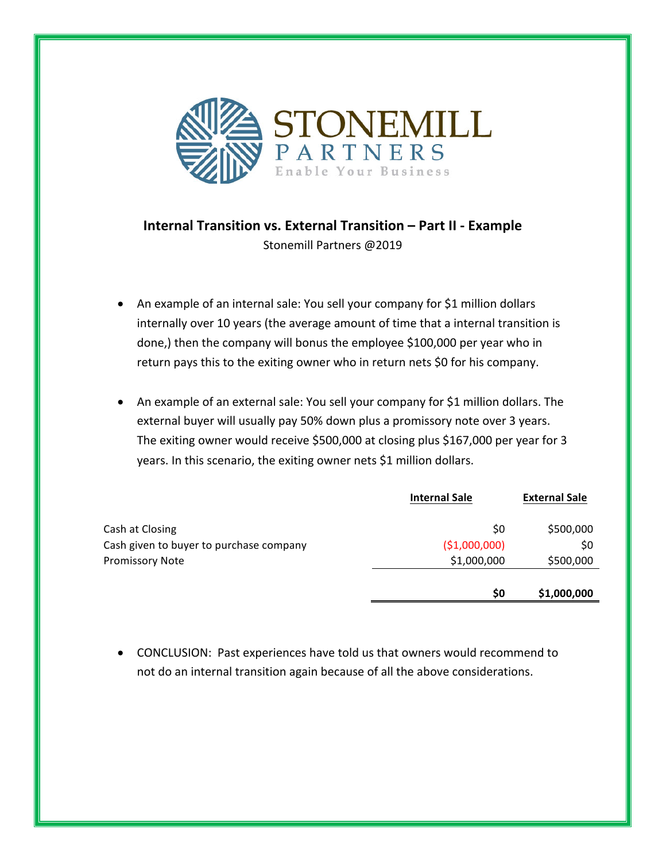

## **Internal Transition vs. External Transition – Part II - Example** Stonemill Partners @2019

- An example of an internal sale: You sell your company for \$1 million dollars internally over 10 years (the average amount of time that a internal transition is done,) then the company will bonus the employee \$100,000 per year who in return pays this to the exiting owner who in return nets \$0 for his company.
- An example of an external sale: You sell your company for \$1 million dollars. The external buyer will usually pay 50% down plus a promissory note over 3 years. The exiting owner would receive \$500,000 at closing plus \$167,000 per year for 3 years. In this scenario, the exiting owner nets \$1 million dollars.

|                                         | <b>Internal Sale</b> | <b>External Sale</b> |
|-----------------------------------------|----------------------|----------------------|
| Cash at Closing                         | \$0                  | \$500,000            |
| Cash given to buyer to purchase company | ( \$1,000,000)       | \$0                  |
| <b>Promissory Note</b>                  | \$1,000,000          | \$500,000            |
|                                         |                      |                      |
|                                         | \$0                  | \$1,000,000          |

• CONCLUSION: Past experiences have told us that owners would recommend to not do an internal transition again because of all the above considerations.